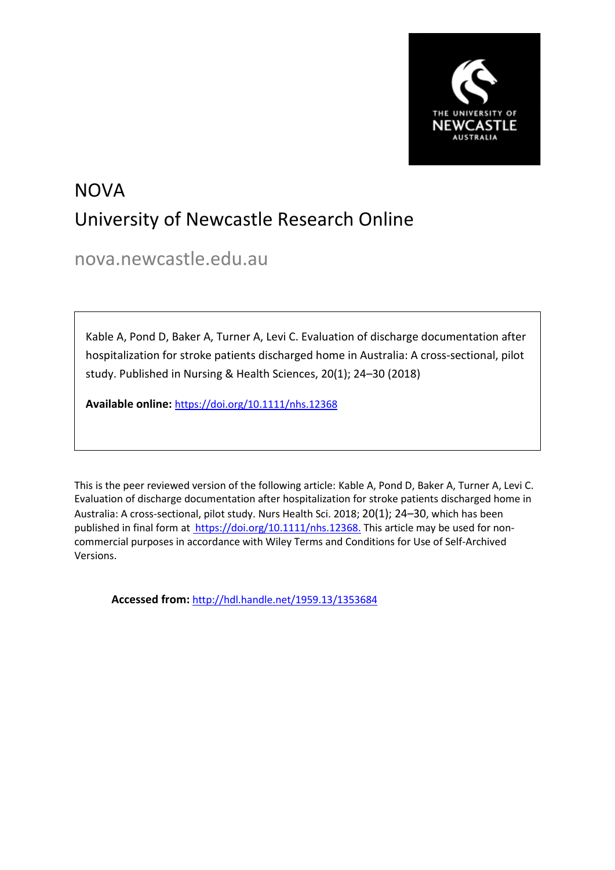

# NOVA University of Newcastle Research Online

nova.newcastle.edu.au

Kable A, Pond D, Baker A, Turner A, Levi C. Evaluation of discharge documentation after hospitalization for stroke patients discharged home in Australia: A cross-sectional, pilot study. Published in Nursing & Health Sciences, 20(1); 24–30 (2018)

**Available online:** https://doi.org/10.1111/nhs.12368

This is the peer reviewed version of the following article: Kable A, Pond D, Baker A, Turner A, Levi C. Evaluation of discharge documentation after hospitalization for stroke patients discharged home in Australia: A cross‐sectional, pilot study. Nurs Health Sci. 2018; 20(1); 24–30, which has been published in final form at https://doi.org/10.1111/nhs.12368. This article may be used for noncommercial purposes in accordance with Wiley Terms and Conditions for Use of Self-Archived Versions.

**Accessed from:** [http://hdl.handle.net/1959.13/1353684](https://nova.newcastle.edu.au/vital/access/manager/Repository?view=null&f0=sm_identifier%3A%22http%3A%2F%2Fhdl.handle.net%2F1959.13%2F1353684%22&sort=null)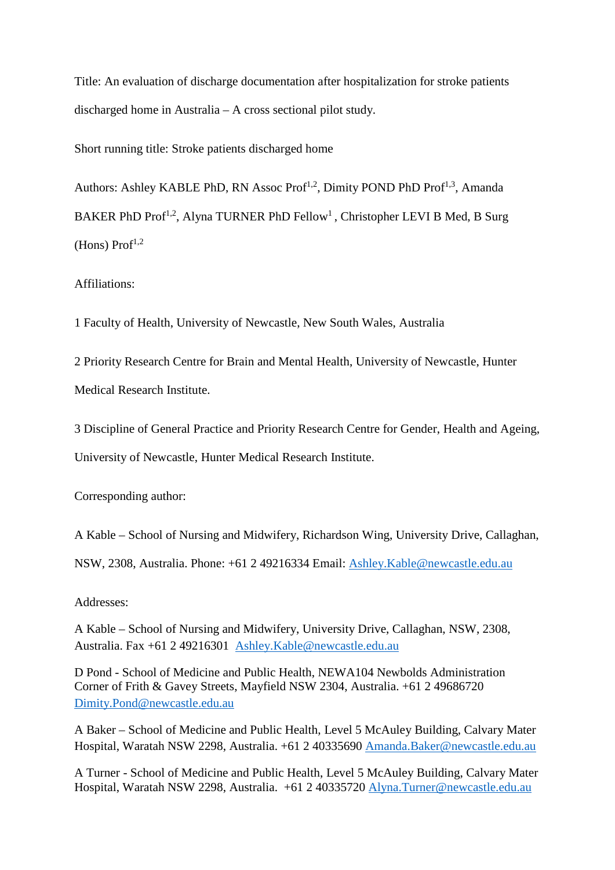Title: An evaluation of discharge documentation after hospitalization for stroke patients discharged home in Australia – A cross sectional pilot study.

Short running title: Stroke patients discharged home

Authors: Ashley KABLE PhD, RN Assoc Prof<sup>1,2</sup>, Dimity POND PhD Prof<sup>1,3</sup>, Amanda BAKER PhD Prof<sup>1,2</sup>, Alyna TURNER PhD Fellow<sup>1</sup>, Christopher LEVI B Med, B Surg  $(Hons)$  Prof<sup>1,2</sup>

Affiliations:

1 Faculty of Health, University of Newcastle, New South Wales, Australia

2 Priority Research Centre for Brain and Mental Health, University of Newcastle, Hunter

Medical Research Institute.

3 Discipline of General Practice and Priority Research Centre for Gender, Health and Ageing,

University of Newcastle, Hunter Medical Research Institute.

Corresponding author:

A Kable – School of Nursing and Midwifery, Richardson Wing, University Drive, Callaghan,

NSW, 2308, Australia. Phone: +61 2 49216334 Email: [Ashley.Kable@newcastle.edu.au](mailto:Ashley.Kable@newcastle.edu.au)

Addresses:

A Kable – School of Nursing and Midwifery, University Drive, Callaghan, NSW, 2308, Australia. Fax +61 2 49216301 [Ashley.Kable@newcastle.edu.au](mailto:Ashley.Kable@newcastle.edu.au)

D Pond - School of Medicine and Public Health, NEWA104 Newbolds Administration Corner of Frith & Gavey Streets, Mayfield NSW 2304, Australia. +61 2 49686720 [Dimity.Pond@newcastle.edu.au](mailto:Dimity.Pond@newcastle.edu.au)

A Baker – School of Medicine and Public Health, Level 5 McAuley Building, Calvary Mater Hospital, Waratah NSW 2298, Australia. +61 2 40335690 [Amanda.Baker@newcastle.edu.au](mailto:Amanda.Baker@newcastle.edu.au)

A Turner - School of Medicine and Public Health, Level 5 McAuley Building, Calvary Mater Hospital, Waratah NSW 2298, Australia. +61 2 40335720 [Alyna.Turner@newcastle.edu.au](mailto:Alyna.Turner@newcastle.edu.au)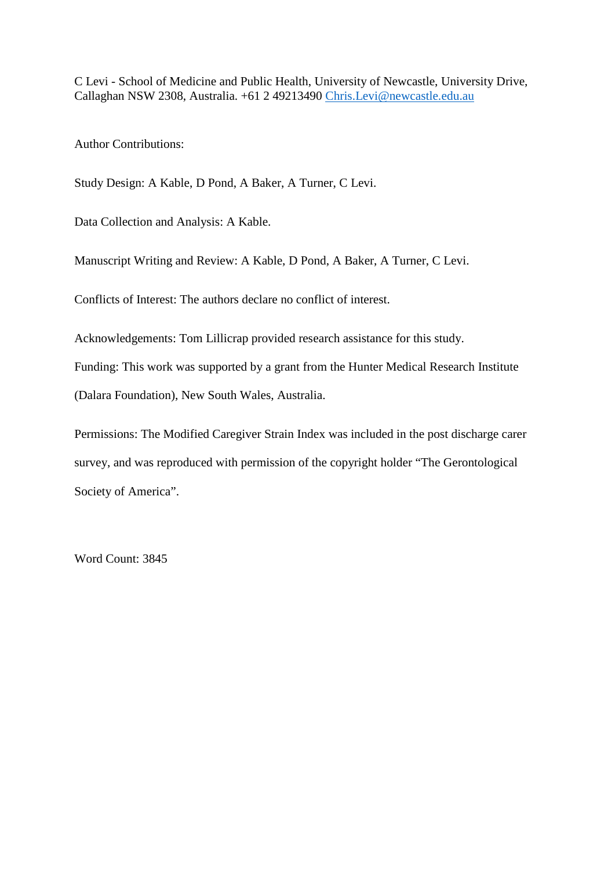C Levi - School of Medicine and Public Health, University of Newcastle, University Drive, Callaghan NSW 2308, Australia. +61 2 49213490 [Chris.Levi@newcastle.edu.au](mailto:Chris.Levi@newcastle.edu.au)

Author Contributions:

Study Design: A Kable, D Pond, A Baker, A Turner, C Levi.

Data Collection and Analysis: A Kable.

Manuscript Writing and Review: A Kable, D Pond, A Baker, A Turner, C Levi.

Conflicts of Interest: The authors declare no conflict of interest.

Acknowledgements: Tom Lillicrap provided research assistance for this study.

Funding: This work was supported by a grant from the Hunter Medical Research Institute

(Dalara Foundation), New South Wales, Australia.

Permissions: The Modified Caregiver Strain Index was included in the post discharge carer survey, and was reproduced with permission of the copyright holder "The Gerontological Society of America".

Word Count: 3845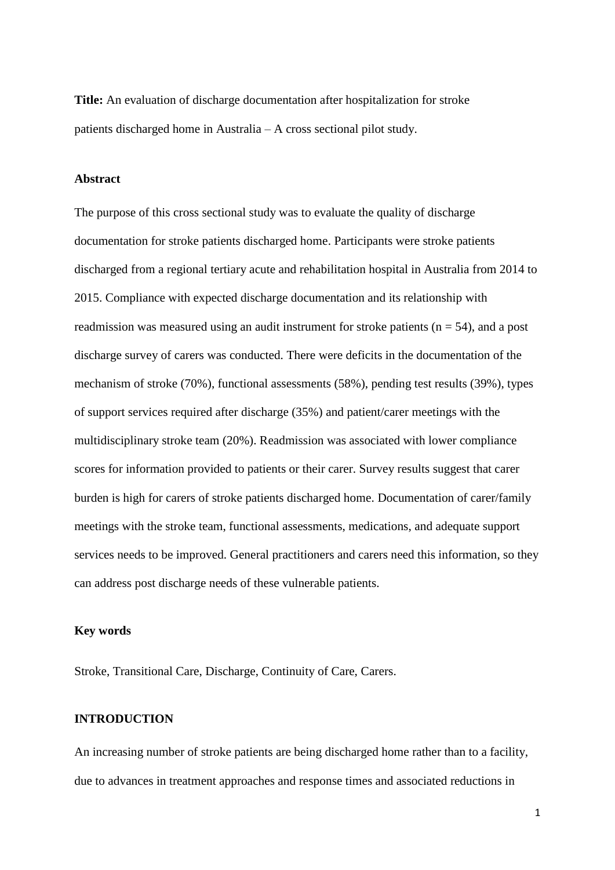**Title:** An evaluation of discharge documentation after hospitalization for stroke patients discharged home in Australia – A cross sectional pilot study.

#### **Abstract**

The purpose of this cross sectional study was to evaluate the quality of discharge documentation for stroke patients discharged home. Participants were stroke patients discharged from a regional tertiary acute and rehabilitation hospital in Australia from 2014 to 2015. Compliance with expected discharge documentation and its relationship with readmission was measured using an audit instrument for stroke patients ( $n = 54$ ), and a post discharge survey of carers was conducted. There were deficits in the documentation of the mechanism of stroke (70%), functional assessments (58%), pending test results (39%), types of support services required after discharge (35%) and patient/carer meetings with the multidisciplinary stroke team (20%). Readmission was associated with lower compliance scores for information provided to patients or their carer. Survey results suggest that carer burden is high for carers of stroke patients discharged home. Documentation of carer/family meetings with the stroke team, functional assessments, medications, and adequate support services needs to be improved. General practitioners and carers need this information, so they can address post discharge needs of these vulnerable patients.

## **Key words**

Stroke, Transitional Care, Discharge, Continuity of Care, Carers.

## **INTRODUCTION**

An increasing number of stroke patients are being discharged home rather than to a facility, due to advances in treatment approaches and response times and associated reductions in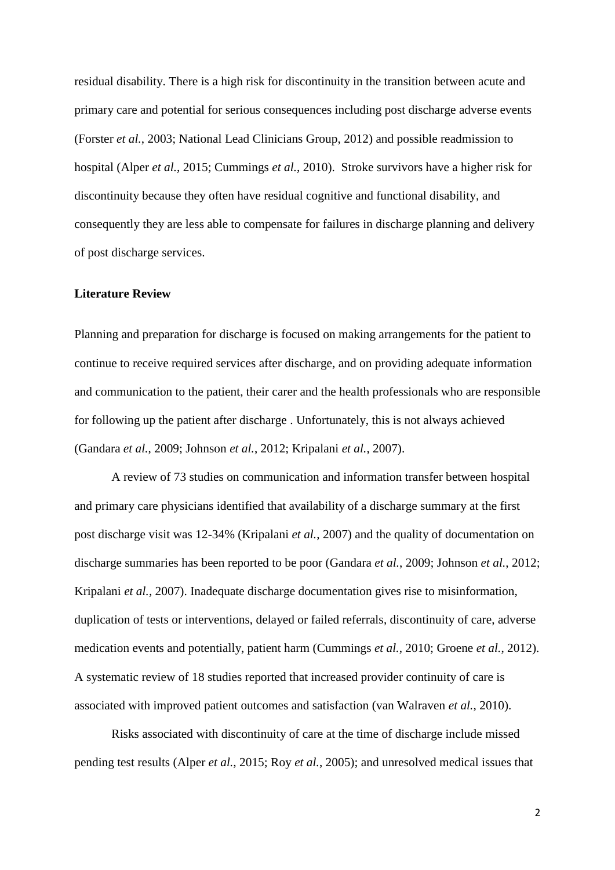residual disability. There is a high risk for discontinuity in the transition between acute and primary care and potential for serious consequences including post discharge adverse events (Forster *et al.*, 2003; National Lead Clinicians Group, 2012) and possible readmission to hospital (Alper *et al.*, 2015; Cummings *et al.*, 2010). Stroke survivors have a higher risk for discontinuity because they often have residual cognitive and functional disability, and consequently they are less able to compensate for failures in discharge planning and delivery of post discharge services.

## **Literature Review**

Planning and preparation for discharge is focused on making arrangements for the patient to continue to receive required services after discharge, and on providing adequate information and communication to the patient, their carer and the health professionals who are responsible for following up the patient after discharge . Unfortunately, this is not always achieved (Gandara *et al.*, 2009; Johnson *et al.*, 2012; Kripalani *et al.*, 2007).

A review of 73 studies on communication and information transfer between hospital and primary care physicians identified that availability of a discharge summary at the first post discharge visit was 12-34% (Kripalani *et al.*, 2007) and the quality of documentation on discharge summaries has been reported to be poor (Gandara *et al.*, 2009; Johnson *et al.*, 2012; Kripalani *et al.*, 2007). Inadequate discharge documentation gives rise to misinformation, duplication of tests or interventions, delayed or failed referrals, discontinuity of care, adverse medication events and potentially, patient harm (Cummings *et al.*, 2010; Groene *et al.*, 2012). A systematic review of 18 studies reported that increased provider continuity of care is associated with improved patient outcomes and satisfaction (van Walraven *et al.*, 2010).

Risks associated with discontinuity of care at the time of discharge include missed pending test results (Alper *et al.*, 2015; Roy *et al.*, 2005); and unresolved medical issues that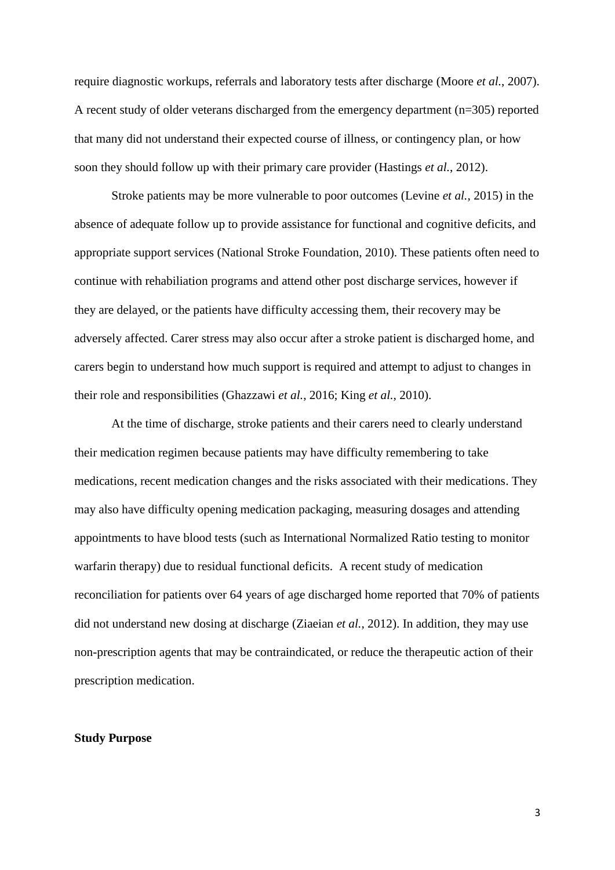require diagnostic workups, referrals and laboratory tests after discharge (Moore *et al.*, 2007). A recent study of older veterans discharged from the emergency department (n=305) reported that many did not understand their expected course of illness, or contingency plan, or how soon they should follow up with their primary care provider (Hastings *et al.*, 2012).

Stroke patients may be more vulnerable to poor outcomes (Levine *et al.*, 2015) in the absence of adequate follow up to provide assistance for functional and cognitive deficits, and appropriate support services (National Stroke Foundation, 2010). These patients often need to continue with rehabiliation programs and attend other post discharge services, however if they are delayed, or the patients have difficulty accessing them, their recovery may be adversely affected. Carer stress may also occur after a stroke patient is discharged home, and carers begin to understand how much support is required and attempt to adjust to changes in their role and responsibilities (Ghazzawi *et al.*, 2016; King *et al.*, 2010).

At the time of discharge, stroke patients and their carers need to clearly understand their medication regimen because patients may have difficulty remembering to take medications, recent medication changes and the risks associated with their medications. They may also have difficulty opening medication packaging, measuring dosages and attending appointments to have blood tests (such as International Normalized Ratio testing to monitor warfarin therapy) due to residual functional deficits. A recent study of medication reconciliation for patients over 64 years of age discharged home reported that 70% of patients did not understand new dosing at discharge (Ziaeian *et al.*, 2012). In addition, they may use non-prescription agents that may be contraindicated, or reduce the therapeutic action of their prescription medication.

#### **Study Purpose**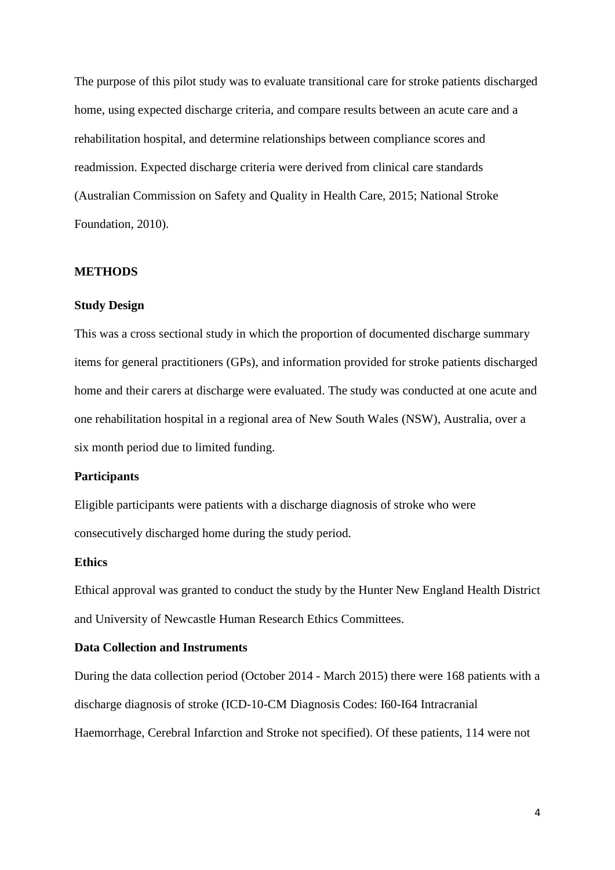The purpose of this pilot study was to evaluate transitional care for stroke patients discharged home, using expected discharge criteria, and compare results between an acute care and a rehabilitation hospital, and determine relationships between compliance scores and readmission. Expected discharge criteria were derived from clinical care standards (Australian Commission on Safety and Quality in Health Care, 2015; National Stroke Foundation, 2010).

#### **METHODS**

#### **Study Design**

This was a cross sectional study in which the proportion of documented discharge summary items for general practitioners (GPs), and information provided for stroke patients discharged home and their carers at discharge were evaluated. The study was conducted at one acute and one rehabilitation hospital in a regional area of New South Wales (NSW), Australia, over a six month period due to limited funding.

#### **Participants**

Eligible participants were patients with a discharge diagnosis of stroke who were consecutively discharged home during the study period.

#### **Ethics**

Ethical approval was granted to conduct the study by the Hunter New England Health District and University of Newcastle Human Research Ethics Committees.

#### **Data Collection and Instruments**

During the data collection period (October 2014 - March 2015) there were 168 patients with a discharge diagnosis of stroke (ICD-10-CM Diagnosis Codes: I60-I64 Intracranial Haemorrhage, Cerebral Infarction and Stroke not specified). Of these patients, 114 were not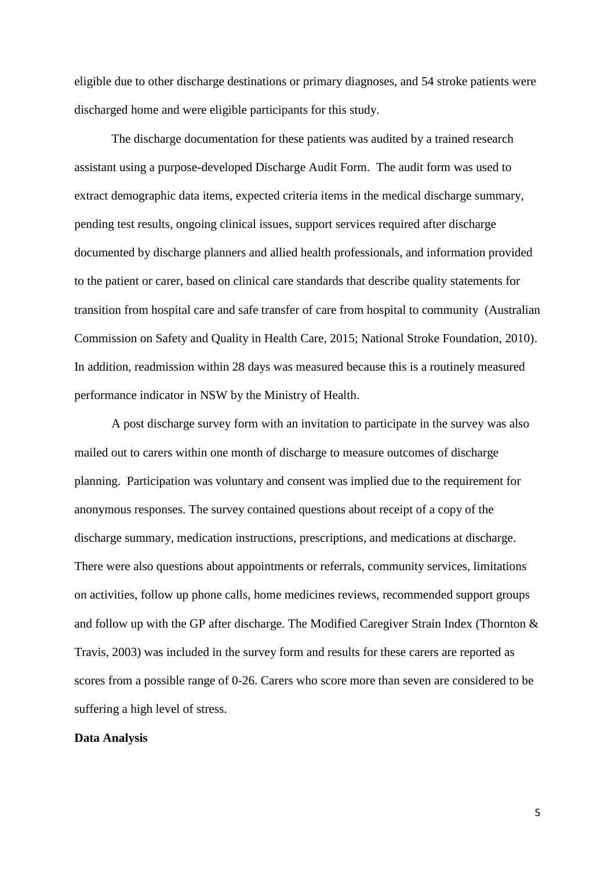eligible due to other discharge destinations or primary diagnoses, and 54 stroke patients were discharged home and were eligible participants for this study.

The discharge documentation for these patients was audited by a trained research assistant using a purpose-developed Discharge Audit Form. The audit form was used to extract demographic data items, expected criteria items in the medical discharge summary, pending test results, ongoing clinical issues, support services required after discharge documented by discharge planners and allied health professionals, and information provided to the patient or carer, based on clinical care standards that describe quality statements for transition from hospital care and safe transfer of care from hospital to community (Australian Commission on Safety and Quality in Health Care, 2015; National Stroke Foundation, 2010). In addition, readmission within 28 days was measured because this is a routinely measured performance indicator in NSW by the Ministry of Health.

A post discharge survey form with an invitation to participate in the survey was also mailed out to carers within one month of discharge to measure outcomes of discharge planning. Participation was voluntary and consent was implied due to the requirement for anonymous responses. The survey contained questions about receipt of a copy of the discharge summary, medication instructions, prescriptions, and medications at discharge. There were also questions about appointments or referrals, community services, limitations on activities, follow up phone calls, home medicines reviews, recommended support groups and follow up with the GP after discharge. The Modified Caregiver Strain Index (Thornton & Travis, 2003) was included in the survey form and results for these carers are reported as scores from a possible range of 0-26. Carers who score more than seven are considered to be suffering a high level of stress.

#### **Data Analysis**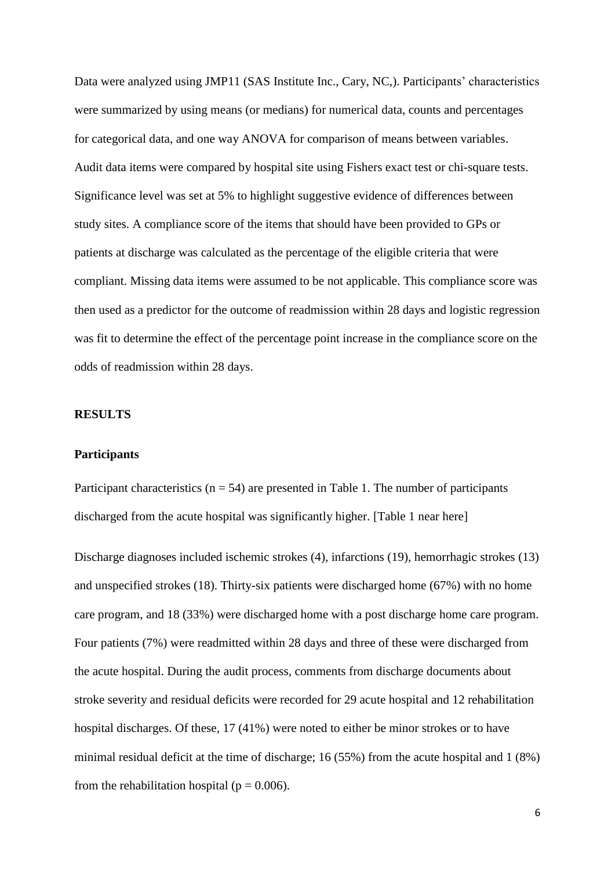Data were analyzed using JMP11 (SAS Institute Inc., Cary, NC,). Participants' characteristics were summarized by using means (or medians) for numerical data, counts and percentages for categorical data, and one way ANOVA for comparison of means between variables. Audit data items were compared by hospital site using Fishers exact test or chi-square tests. Significance level was set at 5% to highlight suggestive evidence of differences between study sites. A compliance score of the items that should have been provided to GPs or patients at discharge was calculated as the percentage of the eligible criteria that were compliant. Missing data items were assumed to be not applicable. This compliance score was then used as a predictor for the outcome of readmission within 28 days and logistic regression was fit to determine the effect of the percentage point increase in the compliance score on the odds of readmission within 28 days.

## **RESULTS**

#### **Participants**

Participant characteristics ( $n = 54$ ) are presented in Table 1. The number of participants discharged from the acute hospital was significantly higher. [Table 1 near here]

Discharge diagnoses included ischemic strokes (4), infarctions (19), hemorrhagic strokes (13) and unspecified strokes (18). Thirty-six patients were discharged home (67%) with no home care program, and 18 (33%) were discharged home with a post discharge home care program. Four patients (7%) were readmitted within 28 days and three of these were discharged from the acute hospital. During the audit process, comments from discharge documents about stroke severity and residual deficits were recorded for 29 acute hospital and 12 rehabilitation hospital discharges. Of these, 17 (41%) were noted to either be minor strokes or to have minimal residual deficit at the time of discharge; 16 (55%) from the acute hospital and 1 (8%) from the rehabilitation hospital ( $p = 0.006$ ).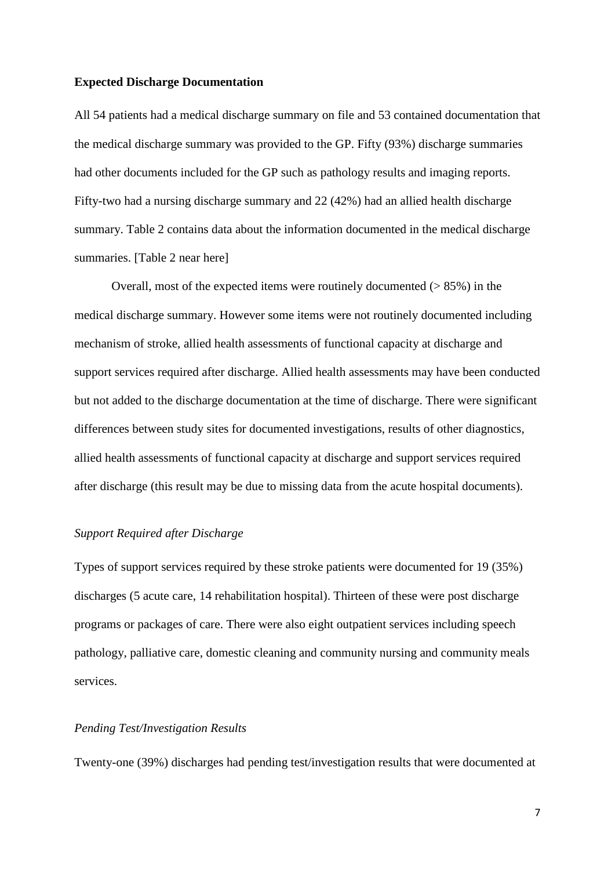#### **Expected Discharge Documentation**

All 54 patients had a medical discharge summary on file and 53 contained documentation that the medical discharge summary was provided to the GP. Fifty (93%) discharge summaries had other documents included for the GP such as pathology results and imaging reports. Fifty-two had a nursing discharge summary and 22 (42%) had an allied health discharge summary. Table 2 contains data about the information documented in the medical discharge summaries. [Table 2 near here]

Overall, most of the expected items were routinely documented  $($  > 85%) in the medical discharge summary. However some items were not routinely documented including mechanism of stroke, allied health assessments of functional capacity at discharge and support services required after discharge. Allied health assessments may have been conducted but not added to the discharge documentation at the time of discharge. There were significant differences between study sites for documented investigations, results of other diagnostics, allied health assessments of functional capacity at discharge and support services required after discharge (this result may be due to missing data from the acute hospital documents).

#### *Support Required after Discharge*

Types of support services required by these stroke patients were documented for 19 (35%) discharges (5 acute care, 14 rehabilitation hospital). Thirteen of these were post discharge programs or packages of care. There were also eight outpatient services including speech pathology, palliative care, domestic cleaning and community nursing and community meals services.

## *Pending Test/Investigation Results*

Twenty-one (39%) discharges had pending test/investigation results that were documented at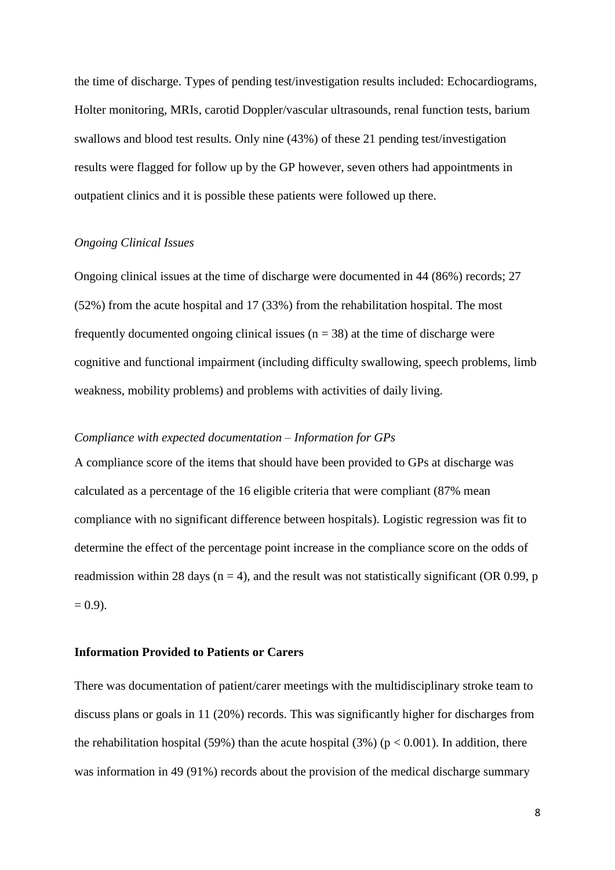the time of discharge. Types of pending test/investigation results included: Echocardiograms, Holter monitoring, MRIs, carotid Doppler/vascular ultrasounds, renal function tests, barium swallows and blood test results. Only nine (43%) of these 21 pending test/investigation results were flagged for follow up by the GP however, seven others had appointments in outpatient clinics and it is possible these patients were followed up there.

## *Ongoing Clinical Issues*

Ongoing clinical issues at the time of discharge were documented in 44 (86%) records; 27 (52%) from the acute hospital and 17 (33%) from the rehabilitation hospital. The most frequently documented ongoing clinical issues ( $n = 38$ ) at the time of discharge were cognitive and functional impairment (including difficulty swallowing, speech problems, limb weakness, mobility problems) and problems with activities of daily living.

## *Compliance with expected documentation – Information for GPs*

A compliance score of the items that should have been provided to GPs at discharge was calculated as a percentage of the 16 eligible criteria that were compliant (87% mean compliance with no significant difference between hospitals). Logistic regression was fit to determine the effect of the percentage point increase in the compliance score on the odds of readmission within 28 days ( $n = 4$ ), and the result was not statistically significant (OR 0.99,  $p$ )  $= 0.9$ ).

## **Information Provided to Patients or Carers**

There was documentation of patient/carer meetings with the multidisciplinary stroke team to discuss plans or goals in 11 (20%) records. This was significantly higher for discharges from the rehabilitation hospital (59%) than the acute hospital (3%) ( $p < 0.001$ ). In addition, there was information in 49 (91%) records about the provision of the medical discharge summary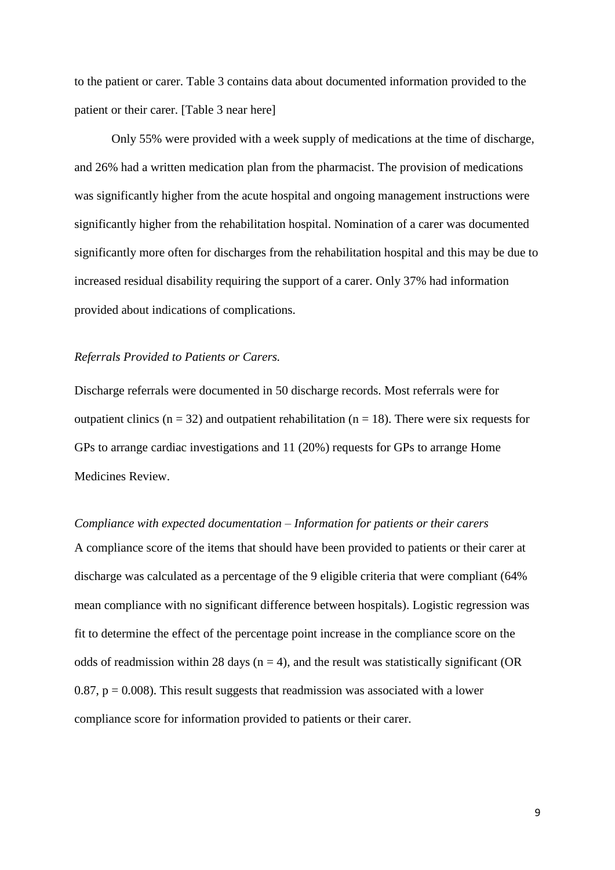to the patient or carer. Table 3 contains data about documented information provided to the patient or their carer. [Table 3 near here]

Only 55% were provided with a week supply of medications at the time of discharge, and 26% had a written medication plan from the pharmacist. The provision of medications was significantly higher from the acute hospital and ongoing management instructions were significantly higher from the rehabilitation hospital. Nomination of a carer was documented significantly more often for discharges from the rehabilitation hospital and this may be due to increased residual disability requiring the support of a carer. Only 37% had information provided about indications of complications.

## *Referrals Provided to Patients or Carers.*

Discharge referrals were documented in 50 discharge records. Most referrals were for outpatient clinics ( $n = 32$ ) and outpatient rehabilitation ( $n = 18$ ). There were six requests for GPs to arrange cardiac investigations and 11 (20%) requests for GPs to arrange Home Medicines Review.

*Compliance with expected documentation – Information for patients or their carers* A compliance score of the items that should have been provided to patients or their carer at discharge was calculated as a percentage of the 9 eligible criteria that were compliant (64% mean compliance with no significant difference between hospitals). Logistic regression was fit to determine the effect of the percentage point increase in the compliance score on the odds of readmission within 28 days ( $n = 4$ ), and the result was statistically significant (OR 0.87,  $p = 0.008$ ). This result suggests that readmission was associated with a lower compliance score for information provided to patients or their carer.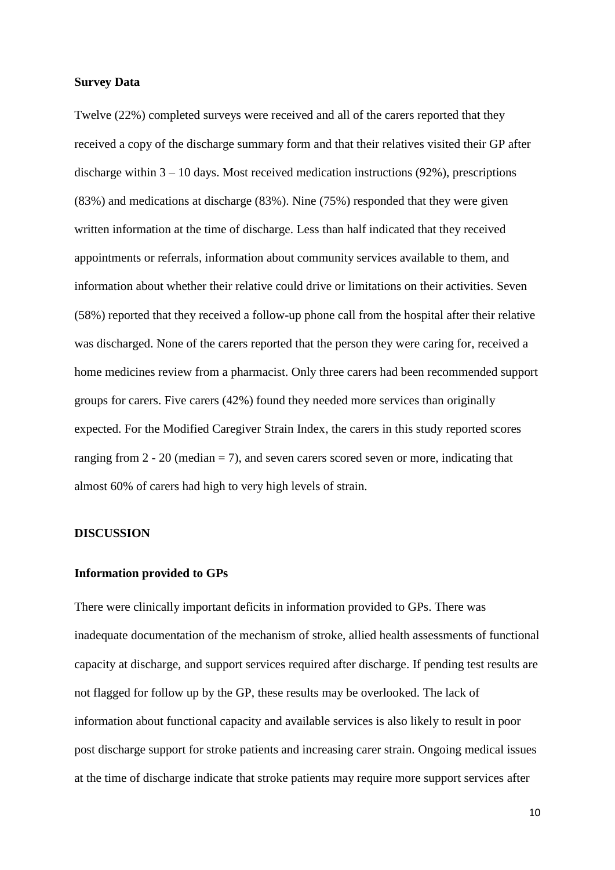#### **Survey Data**

Twelve (22%) completed surveys were received and all of the carers reported that they received a copy of the discharge summary form and that their relatives visited their GP after discharge within  $3 - 10$  days. Most received medication instructions (92%), prescriptions (83%) and medications at discharge (83%). Nine (75%) responded that they were given written information at the time of discharge. Less than half indicated that they received appointments or referrals, information about community services available to them, and information about whether their relative could drive or limitations on their activities. Seven (58%) reported that they received a follow-up phone call from the hospital after their relative was discharged. None of the carers reported that the person they were caring for, received a home medicines review from a pharmacist. Only three carers had been recommended support groups for carers. Five carers (42%) found they needed more services than originally expected. For the Modified Caregiver Strain Index, the carers in this study reported scores ranging from  $2 - 20$  (median  $= 7$ ), and seven carers scored seven or more, indicating that almost 60% of carers had high to very high levels of strain.

#### **DISCUSSION**

#### **Information provided to GPs**

There were clinically important deficits in information provided to GPs. There was inadequate documentation of the mechanism of stroke, allied health assessments of functional capacity at discharge, and support services required after discharge. If pending test results are not flagged for follow up by the GP, these results may be overlooked. The lack of information about functional capacity and available services is also likely to result in poor post discharge support for stroke patients and increasing carer strain. Ongoing medical issues at the time of discharge indicate that stroke patients may require more support services after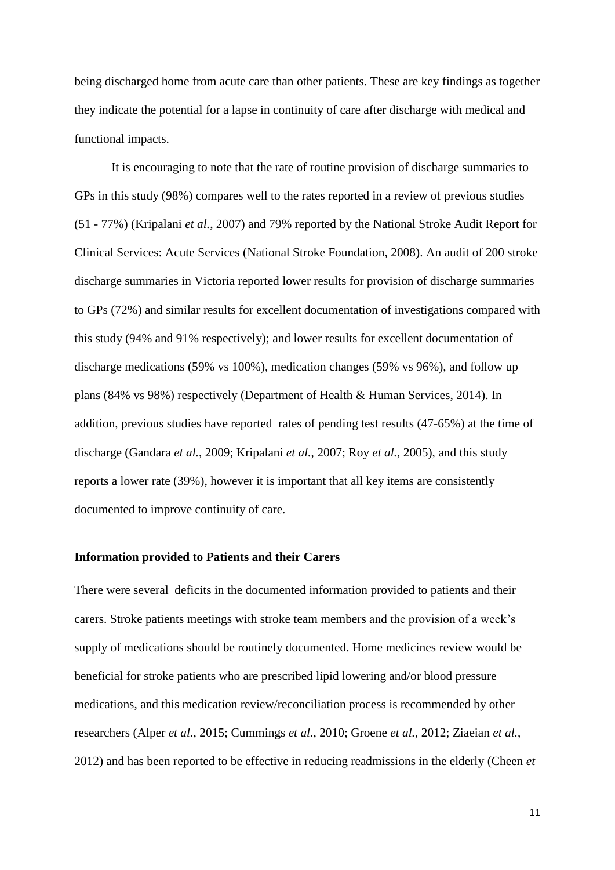being discharged home from acute care than other patients. These are key findings as together they indicate the potential for a lapse in continuity of care after discharge with medical and functional impacts.

It is encouraging to note that the rate of routine provision of discharge summaries to GPs in this study (98%) compares well to the rates reported in a review of previous studies (51 - 77%) (Kripalani *et al.*, 2007) and 79% reported by the National Stroke Audit Report for Clinical Services: Acute Services (National Stroke Foundation, 2008). An audit of 200 stroke discharge summaries in Victoria reported lower results for provision of discharge summaries to GPs (72%) and similar results for excellent documentation of investigations compared with this study (94% and 91% respectively); and lower results for excellent documentation of discharge medications (59% vs 100%), medication changes (59% vs 96%), and follow up plans (84% vs 98%) respectively (Department of Health & Human Services, 2014). In addition, previous studies have reported rates of pending test results (47-65%) at the time of discharge (Gandara *et al.*, 2009; Kripalani *et al.*, 2007; Roy *et al.*, 2005), and this study reports a lower rate (39%), however it is important that all key items are consistently documented to improve continuity of care.

#### **Information provided to Patients and their Carers**

There were several deficits in the documented information provided to patients and their carers. Stroke patients meetings with stroke team members and the provision of a week's supply of medications should be routinely documented. Home medicines review would be beneficial for stroke patients who are prescribed lipid lowering and/or blood pressure medications, and this medication review/reconciliation process is recommended by other researchers (Alper *et al.*, 2015; Cummings *et al.*, 2010; Groene *et al.*, 2012; Ziaeian *et al.*, 2012) and has been reported to be effective in reducing readmissions in the elderly (Cheen *et*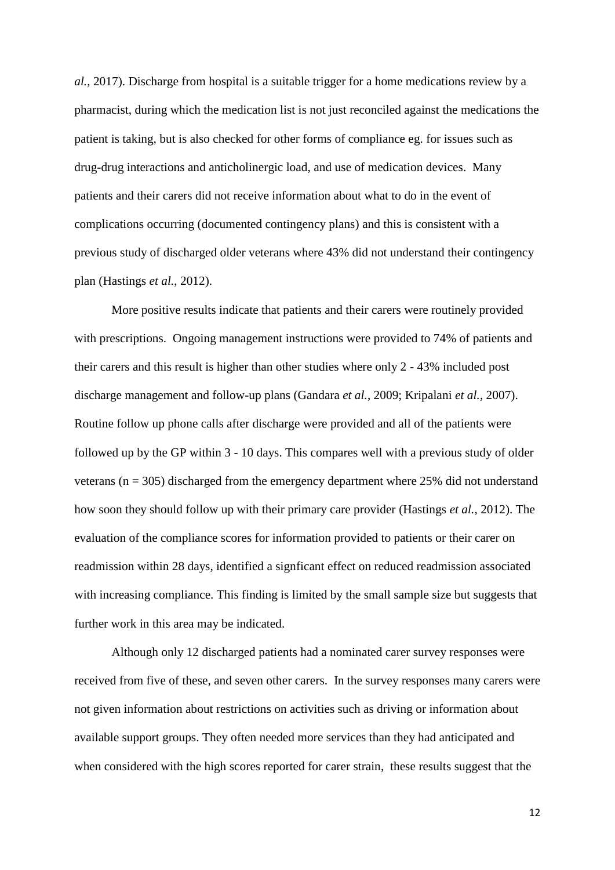*al.*, 2017). Discharge from hospital is a suitable trigger for a home medications review by a pharmacist, during which the medication list is not just reconciled against the medications the patient is taking, but is also checked for other forms of compliance eg. for issues such as drug-drug interactions and anticholinergic load, and use of medication devices. Many patients and their carers did not receive information about what to do in the event of complications occurring (documented contingency plans) and this is consistent with a previous study of discharged older veterans where 43% did not understand their contingency plan (Hastings *et al.*, 2012).

More positive results indicate that patients and their carers were routinely provided with prescriptions. Ongoing management instructions were provided to 74% of patients and their carers and this result is higher than other studies where only 2 - 43% included post discharge management and follow-up plans (Gandara *et al.*, 2009; Kripalani *et al.*, 2007). Routine follow up phone calls after discharge were provided and all of the patients were followed up by the GP within 3 - 10 days. This compares well with a previous study of older veterans ( $n = 305$ ) discharged from the emergency department where 25% did not understand how soon they should follow up with their primary care provider (Hastings *et al.*, 2012). The evaluation of the compliance scores for information provided to patients or their carer on readmission within 28 days, identified a signficant effect on reduced readmission associated with increasing compliance. This finding is limited by the small sample size but suggests that further work in this area may be indicated.

Although only 12 discharged patients had a nominated carer survey responses were received from five of these, and seven other carers. In the survey responses many carers were not given information about restrictions on activities such as driving or information about available support groups. They often needed more services than they had anticipated and when considered with the high scores reported for carer strain, these results suggest that the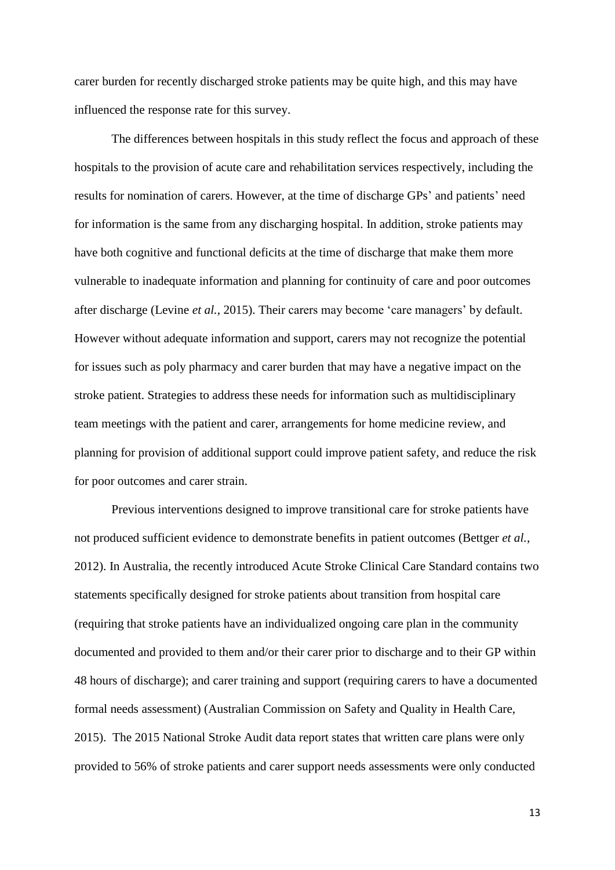carer burden for recently discharged stroke patients may be quite high, and this may have influenced the response rate for this survey.

The differences between hospitals in this study reflect the focus and approach of these hospitals to the provision of acute care and rehabilitation services respectively, including the results for nomination of carers. However, at the time of discharge GPs' and patients' need for information is the same from any discharging hospital. In addition, stroke patients may have both cognitive and functional deficits at the time of discharge that make them more vulnerable to inadequate information and planning for continuity of care and poor outcomes after discharge (Levine *et al.*, 2015). Their carers may become 'care managers' by default. However without adequate information and support, carers may not recognize the potential for issues such as poly pharmacy and carer burden that may have a negative impact on the stroke patient. Strategies to address these needs for information such as multidisciplinary team meetings with the patient and carer, arrangements for home medicine review, and planning for provision of additional support could improve patient safety, and reduce the risk for poor outcomes and carer strain.

Previous interventions designed to improve transitional care for stroke patients have not produced sufficient evidence to demonstrate benefits in patient outcomes (Bettger *et al.*, 2012). In Australia, the recently introduced Acute Stroke Clinical Care Standard contains two statements specifically designed for stroke patients about transition from hospital care (requiring that stroke patients have an individualized ongoing care plan in the community documented and provided to them and/or their carer prior to discharge and to their GP within 48 hours of discharge); and carer training and support (requiring carers to have a documented formal needs assessment) (Australian Commission on Safety and Quality in Health Care, 2015). The 2015 National Stroke Audit data report states that written care plans were only provided to 56% of stroke patients and carer support needs assessments were only conducted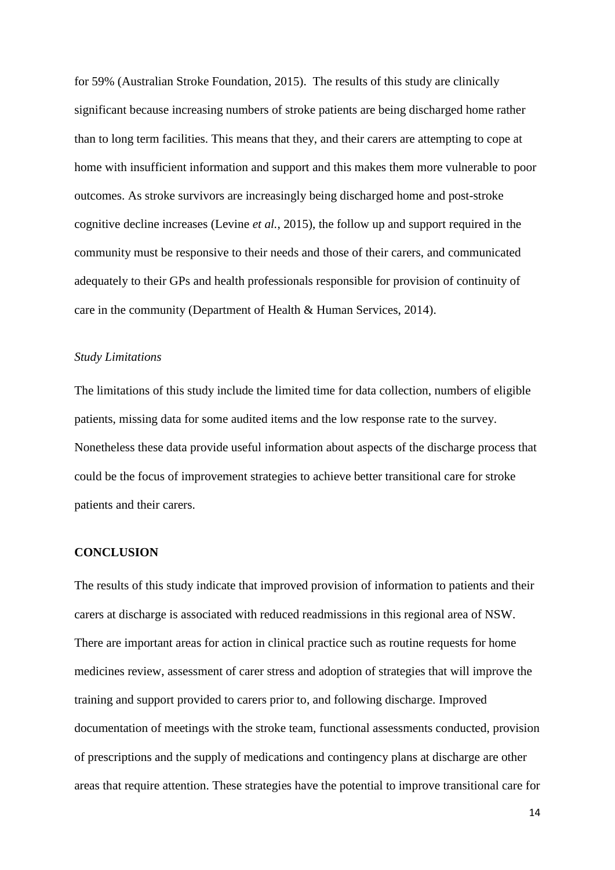for 59% (Australian Stroke Foundation, 2015). The results of this study are clinically significant because increasing numbers of stroke patients are being discharged home rather than to long term facilities. This means that they, and their carers are attempting to cope at home with insufficient information and support and this makes them more vulnerable to poor outcomes. As stroke survivors are increasingly being discharged home and post-stroke cognitive decline increases (Levine *et al.*, 2015), the follow up and support required in the community must be responsive to their needs and those of their carers, and communicated adequately to their GPs and health professionals responsible for provision of continuity of care in the community (Department of Health & Human Services, 2014).

#### *Study Limitations*

The limitations of this study include the limited time for data collection, numbers of eligible patients, missing data for some audited items and the low response rate to the survey. Nonetheless these data provide useful information about aspects of the discharge process that could be the focus of improvement strategies to achieve better transitional care for stroke patients and their carers.

## **CONCLUSION**

The results of this study indicate that improved provision of information to patients and their carers at discharge is associated with reduced readmissions in this regional area of NSW. There are important areas for action in clinical practice such as routine requests for home medicines review, assessment of carer stress and adoption of strategies that will improve the training and support provided to carers prior to, and following discharge. Improved documentation of meetings with the stroke team, functional assessments conducted, provision of prescriptions and the supply of medications and contingency plans at discharge are other areas that require attention. These strategies have the potential to improve transitional care for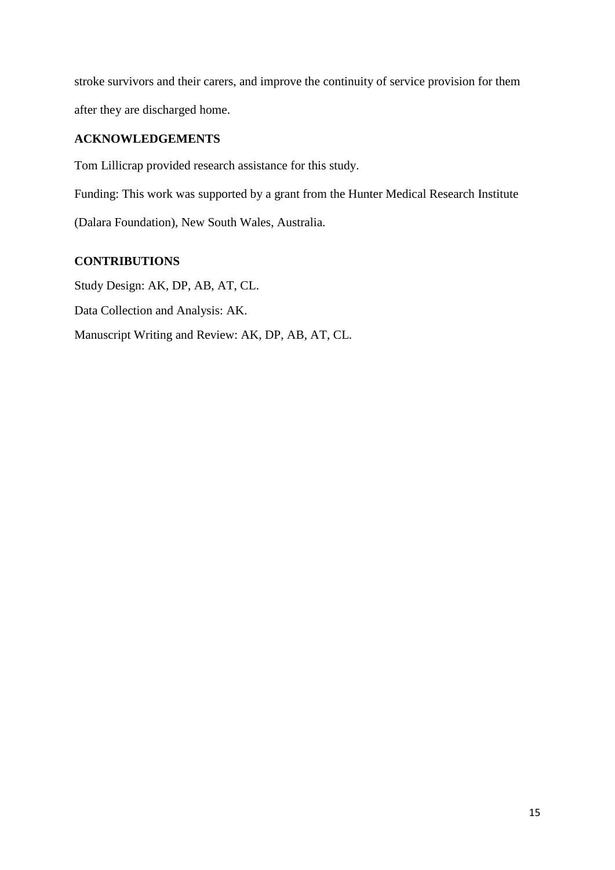stroke survivors and their carers, and improve the continuity of service provision for them after they are discharged home.

# **ACKNOWLEDGEMENTS**

Tom Lillicrap provided research assistance for this study.

Funding: This work was supported by a grant from the Hunter Medical Research Institute (Dalara Foundation), New South Wales, Australia.

# **CONTRIBUTIONS**

Study Design: AK, DP, AB, AT, CL. Data Collection and Analysis: AK. Manuscript Writing and Review: AK, DP, AB, AT, CL.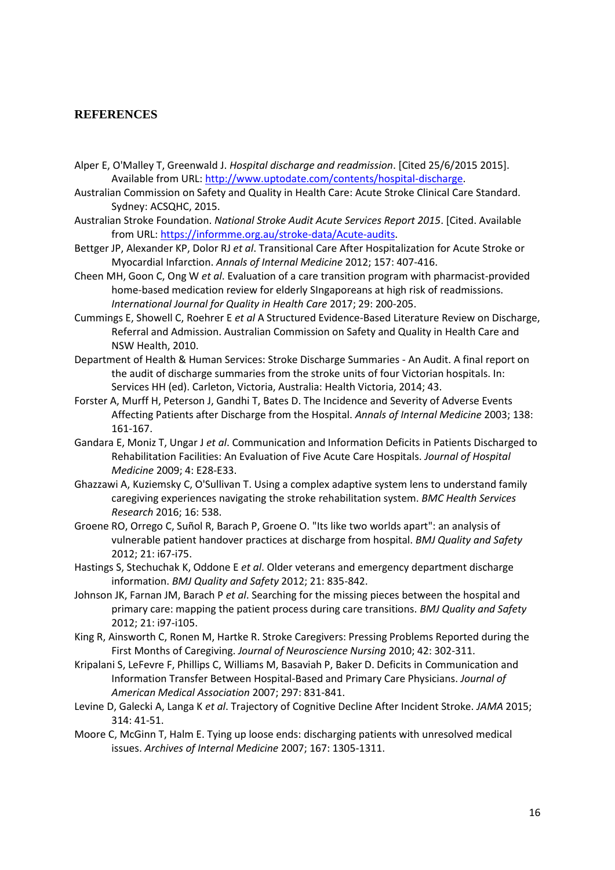## **REFERENCES**

- Alper E, O'Malley T, Greenwald J. *Hospital discharge and readmission*. [Cited 25/6/2015 2015]. Available from URL[: http://www.uptodate.com/contents/hospital-discharge.](http://www.uptodate.com/contents/hospital-discharge)
- Australian Commission on Safety and Quality in Health Care: Acute Stroke Clinical Care Standard. Sydney: ACSQHC, 2015.
- Australian Stroke Foundation. *National Stroke Audit Acute Services Report 2015*. [Cited. Available from URL: [https://informme.org.au/stroke-data/Acute-audits.](https://informme.org.au/stroke-data/Acute-audits)
- Bettger JP, Alexander KP, Dolor RJ *et al*. Transitional Care After Hospitalization for Acute Stroke or Myocardial Infarction. *Annals of Internal Medicine* 2012; 157: 407-416.
- Cheen MH, Goon C, Ong W *et al*. Evaluation of a care transition program with pharmacist-provided home-based medication review for elderly SIngaporeans at high risk of readmissions. *International Journal for Quality in Health Care* 2017; 29: 200-205.
- Cummings E, Showell C, Roehrer E *et al* A Structured Evidence-Based Literature Review on Discharge, Referral and Admission. Australian Commission on Safety and Quality in Health Care and NSW Health, 2010.
- Department of Health & Human Services: Stroke Discharge Summaries An Audit. A final report on the audit of discharge summaries from the stroke units of four Victorian hospitals. In: Services HH (ed). Carleton, Victoria, Australia: Health Victoria, 2014; 43.
- Forster A, Murff H, Peterson J, Gandhi T, Bates D. The Incidence and Severity of Adverse Events Affecting Patients after Discharge from the Hospital. *Annals of Internal Medicine* 2003; 138: 161-167.
- Gandara E, Moniz T, Ungar J *et al*. Communication and Information Deficits in Patients Discharged to Rehabilitation Facilities: An Evaluation of Five Acute Care Hospitals. *Journal of Hospital Medicine* 2009; 4: E28-E33.
- Ghazzawi A, Kuziemsky C, O'Sullivan T. Using a complex adaptive system lens to understand family caregiving experiences navigating the stroke rehabilitation system. *BMC Health Services Research* 2016; 16: 538.
- Groene RO, Orrego C, Suñol R, Barach P, Groene O. "Its like two worlds apart": an analysis of vulnerable patient handover practices at discharge from hospital. *BMJ Quality and Safety*  2012; 21: i67-i75.
- Hastings S, Stechuchak K, Oddone E *et al*. Older veterans and emergency department discharge information. *BMJ Quality and Safety* 2012; 21: 835-842.
- Johnson JK, Farnan JM, Barach P *et al*. Searching for the missing pieces between the hospital and primary care: mapping the patient process during care transitions. *BMJ Quality and Safety*  2012; 21: i97-i105.
- King R, Ainsworth C, Ronen M, Hartke R. Stroke Caregivers: Pressing Problems Reported during the First Months of Caregiving. *Journal of Neuroscience Nursing* 2010; 42: 302-311.
- Kripalani S, LeFevre F, Phillips C, Williams M, Basaviah P, Baker D. Deficits in Communication and Information Transfer Between Hospital-Based and Primary Care Physicians. *Journal of American Medical Association* 2007; 297: 831-841.
- Levine D, Galecki A, Langa K *et al*. Trajectory of Cognitive Decline After Incident Stroke. *JAMA* 2015; 314: 41-51.
- Moore C, McGinn T, Halm E. Tying up loose ends: discharging patients with unresolved medical issues. *Archives of Internal Medicine* 2007; 167: 1305-1311.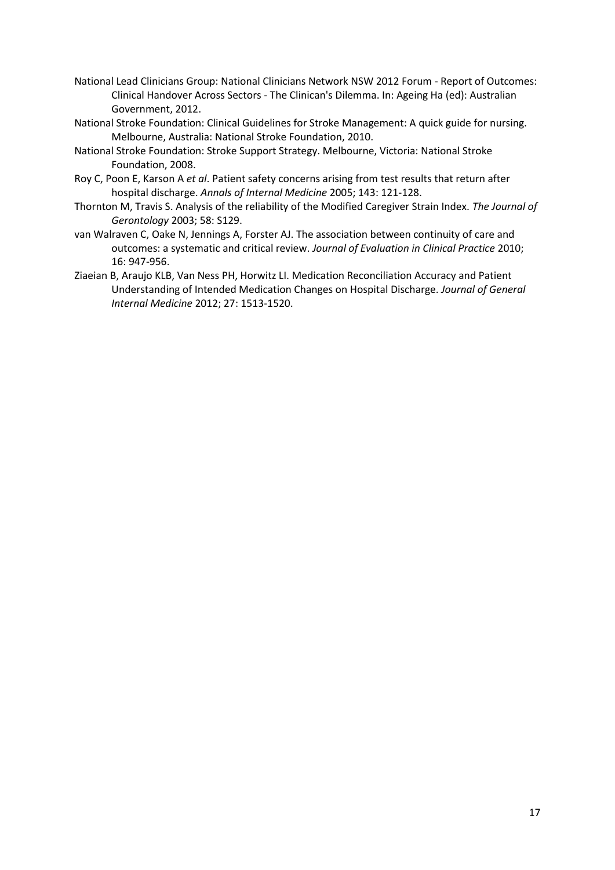- National Lead Clinicians Group: National Clinicians Network NSW 2012 Forum Report of Outcomes: Clinical Handover Across Sectors - The Clinican's Dilemma. In: Ageing Ha (ed): Australian Government, 2012.
- National Stroke Foundation: Clinical Guidelines for Stroke Management: A quick guide for nursing. Melbourne, Australia: National Stroke Foundation, 2010.
- National Stroke Foundation: Stroke Support Strategy. Melbourne, Victoria: National Stroke Foundation, 2008.
- Roy C, Poon E, Karson A *et al*. Patient safety concerns arising from test results that return after hospital discharge. *Annals of Internal Medicine* 2005; 143: 121-128.
- Thornton M, Travis S. Analysis of the reliability of the Modified Caregiver Strain Index. *The Journal of Gerontology* 2003; 58: S129.
- van Walraven C, Oake N, Jennings A, Forster AJ. The association between continuity of care and outcomes: a systematic and critical review. *Journal of Evaluation in Clinical Practice* 2010; 16: 947-956.
- Ziaeian B, Araujo KLB, Van Ness PH, Horwitz LI. Medication Reconciliation Accuracy and Patient Understanding of Intended Medication Changes on Hospital Discharge. *Journal of General Internal Medicine* 2012; 27: 1513-1520.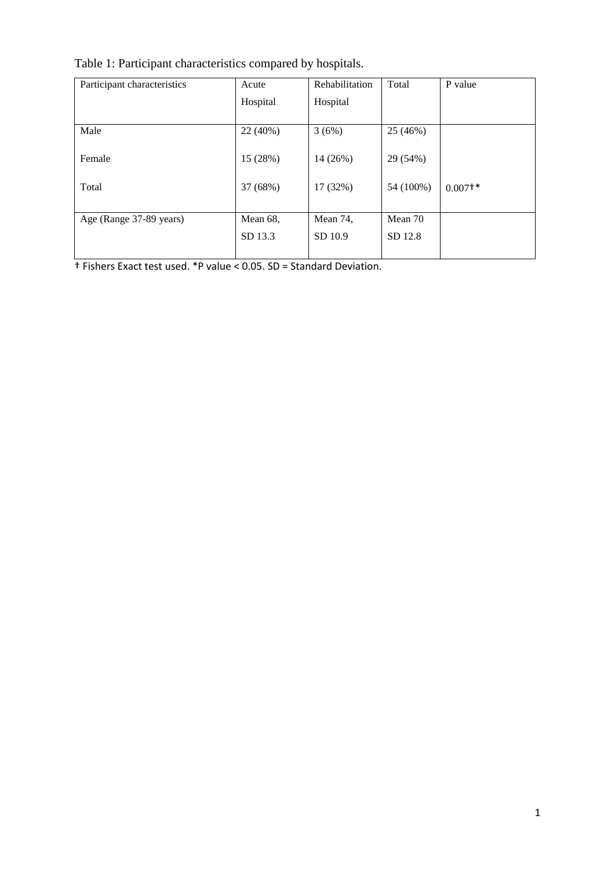| Table 1: Participant characteristics compared by hospitals. |
|-------------------------------------------------------------|
|-------------------------------------------------------------|

| Participant characteristics | Acute    | <b>Rehabilitation</b> | Total     | P value               |
|-----------------------------|----------|-----------------------|-----------|-----------------------|
|                             | Hospital | Hospital              |           |                       |
|                             |          |                       |           |                       |
| Male                        | 22 (40%) | 3(6%)                 | 25 (46%)  |                       |
|                             |          |                       |           |                       |
| Female                      | 15 (28%) | 14 (26%)              | 29 (54%)  |                       |
|                             |          |                       |           |                       |
| Total                       | 37 (68%) | 17 (32%)              | 54 (100%) | $0.007$ <sup>+*</sup> |
|                             |          |                       |           |                       |
| Age (Range 37-89 years)     | Mean 68, | Mean 74,              | Mean 70   |                       |
|                             | SD 13.3  | SD 10.9               | SD 12.8   |                       |
|                             |          |                       |           |                       |

† Fishers Exact test used. \*P value < 0.05. SD = Standard Deviation.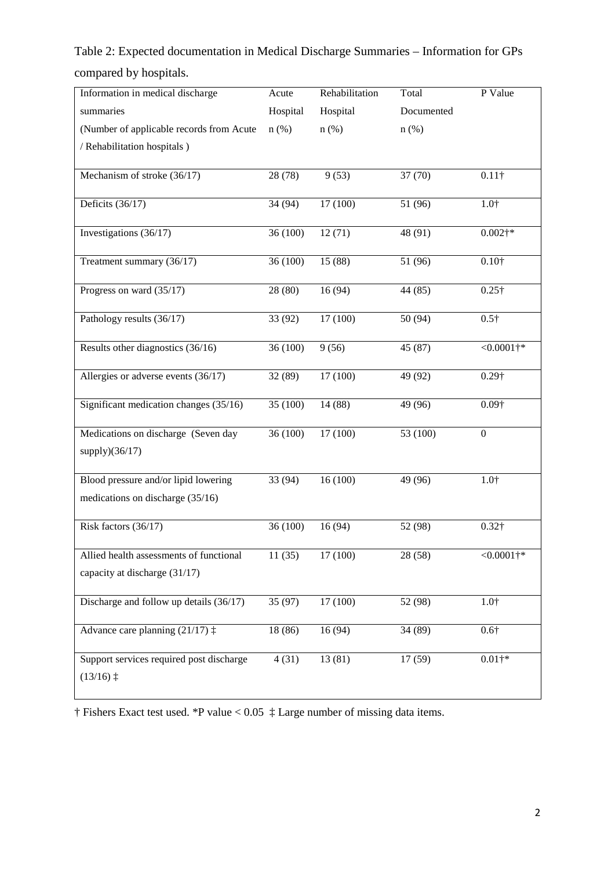Table 2: Expected documentation in Medical Discharge Summaries – Information for GPs compared by hospitals.

| Information in medical discharge                                 | Acute    | Rehabilitation | Total      | P Value          |
|------------------------------------------------------------------|----------|----------------|------------|------------------|
| summaries                                                        | Hospital | Hospital       | Documented |                  |
| (Number of applicable records from Acute                         | $n$ (%)  | $n$ (%)        | $n$ (%)    |                  |
| / Rehabilitation hospitals )                                     |          |                |            |                  |
|                                                                  |          |                |            |                  |
| Mechanism of stroke (36/17)                                      | 28 (78)  | 9(53)          | 37 (70)    | $0.11\dagger$    |
| Deficits (36/17)                                                 | 34 (94)  | 17 (100)       | 51 (96)    | $1.0^{+}$        |
| Investigations (36/17)                                           | 36 (100) | 12(71)         | 48 (91)    | $0.002$ †*       |
| Treatment summary (36/17)                                        | 36 (100) | 15 (88)        | 51 (96)    | $0.10\dagger$    |
| Progress on ward (35/17)                                         | 28 (80)  | 16(94)         | 44 (85)    | $0.25 +$         |
| Pathology results (36/17)                                        | 33 (92)  | 17 (100)       | 50 (94)    | $0.5\dagger$     |
| Results other diagnostics (36/16)                                | 36 (100) | 9(56)          | 45 (87)    | $<0.0001$ †*     |
| Allergies or adverse events (36/17)                              | 32 (89)  | 17 (100)       | 49 (92)    | $0.29\dagger$    |
| Significant medication changes (35/16)                           | 35 (100) | 14 (88)        | 49 (96)    | $0.09\dagger$    |
| Medications on discharge (Seven day                              | 36 (100) | 17 (100)       | 53 (100)   | $\boldsymbol{0}$ |
| supply $)(36/17)$                                                |          |                |            |                  |
| Blood pressure and/or lipid lowering                             | 33 (94)  | 16(100)        | 49 (96)    | $1.0^{+}$        |
| medications on discharge (35/16)                                 |          |                |            |                  |
| Risk factors (36/17)                                             | 36 (100) | 16 (94)        | 52 (98)    | $0.32\dagger$    |
| Allied health assessments of functional                          | 11(35)   | 17(100)        | 28 (58)    | $<0.0001$ †*     |
| capacity at discharge (31/17)                                    |          |                |            |                  |
| Discharge and follow up details (36/17)                          | 35 (97)  | 17 (100)       | 52 (98)    | $1.0^{+}$        |
| Advance care planning $(21/17)$ :                                | 18 (86)  | 16(94)         | 34 (89)    | $0.6\dagger$     |
| Support services required post discharge<br>$(13/16)$ $\ddagger$ | 4(31)    | 13 (81)        | 17(59)     | $0.01+$ *        |

† Fishers Exact test used. \*P value < 0.05 ‡ Large number of missing data items.